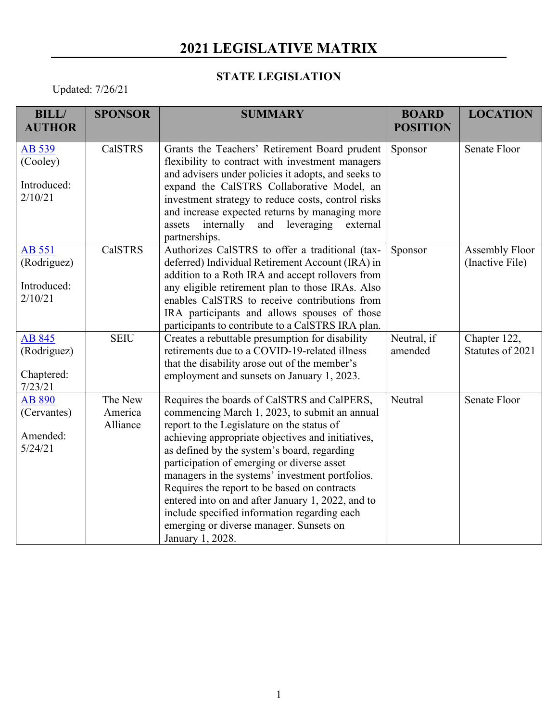## **2021 LEGISLATIVE MATRIX**

## **STATE LEGISLATION**

Updated: 7/26/21

| <b>BILL/</b>           | <b>SPONSOR</b> | <b>SUMMARY</b>                                                         | <b>BOARD</b>    | <b>LOCATION</b>     |
|------------------------|----------------|------------------------------------------------------------------------|-----------------|---------------------|
| <b>AUTHOR</b>          |                |                                                                        | <b>POSITION</b> |                     |
| AB 539                 | <b>CalSTRS</b> | Grants the Teachers' Retirement Board prudent                          | Sponsor         | <b>Senate Floor</b> |
| (Cooley)               |                | flexibility to contract with investment managers                       |                 |                     |
|                        |                | and advisers under policies it adopts, and seeks to                    |                 |                     |
| Introduced:<br>2/10/21 |                | expand the CalSTRS Collaborative Model, an                             |                 |                     |
|                        |                | investment strategy to reduce costs, control risks                     |                 |                     |
|                        |                | and increase expected returns by managing more                         |                 |                     |
|                        |                | internally<br>leveraging<br>and<br>external<br>assets<br>partnerships. |                 |                     |
| AB 551                 | <b>CalSTRS</b> | Authorizes CalSTRS to offer a traditional (tax-                        | Sponsor         | Assembly Floor      |
| (Rodriguez)            |                | deferred) Individual Retirement Account (IRA) in                       |                 | (Inactive File)     |
|                        |                | addition to a Roth IRA and accept rollovers from                       |                 |                     |
| Introduced:            |                | any eligible retirement plan to those IRAs. Also                       |                 |                     |
| 2/10/21                |                | enables CalSTRS to receive contributions from                          |                 |                     |
|                        |                | IRA participants and allows spouses of those                           |                 |                     |
|                        |                | participants to contribute to a CalSTRS IRA plan.                      |                 |                     |
| AB 845                 | <b>SEIU</b>    | Creates a rebuttable presumption for disability                        | Neutral, if     | Chapter 122,        |
| (Rodriguez)            |                | retirements due to a COVID-19-related illness                          | amended         | Statutes of 2021    |
|                        |                | that the disability arose out of the member's                          |                 |                     |
| Chaptered:             |                | employment and sunsets on January 1, 2023.                             |                 |                     |
| 7/23/21<br>AB 890      | The New        | Requires the boards of CalSTRS and CalPERS,                            | Neutral         | <b>Senate Floor</b> |
| (Cervantes)            | America        | commencing March 1, 2023, to submit an annual                          |                 |                     |
|                        | Alliance       | report to the Legislature on the status of                             |                 |                     |
| Amended:               |                | achieving appropriate objectives and initiatives,                      |                 |                     |
| 5/24/21                |                | as defined by the system's board, regarding                            |                 |                     |
|                        |                | participation of emerging or diverse asset                             |                 |                     |
|                        |                | managers in the systems' investment portfolios.                        |                 |                     |
|                        |                | Requires the report to be based on contracts                           |                 |                     |
|                        |                | entered into on and after January 1, 2022, and to                      |                 |                     |
|                        |                | include specified information regarding each                           |                 |                     |
|                        |                | emerging or diverse manager. Sunsets on                                |                 |                     |
|                        |                | January 1, 2028.                                                       |                 |                     |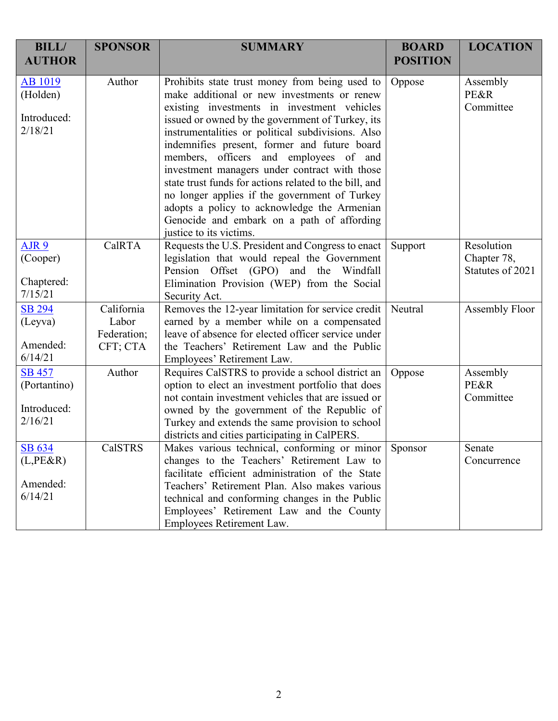| <b>BILL/</b><br><b>AUTHOR</b>                           | <b>SPONSOR</b>                                 | <b>SUMMARY</b>                                                                                                                                                                                                                                                                                                                                                                                                                                                                                                                                                                                           | <b>BOARD</b><br><b>POSITION</b> | <b>LOCATION</b>                               |
|---------------------------------------------------------|------------------------------------------------|----------------------------------------------------------------------------------------------------------------------------------------------------------------------------------------------------------------------------------------------------------------------------------------------------------------------------------------------------------------------------------------------------------------------------------------------------------------------------------------------------------------------------------------------------------------------------------------------------------|---------------------------------|-----------------------------------------------|
| <b>AB</b> 1019<br>(Holden)<br>Introduced:<br>2/18/21    | Author                                         | Prohibits state trust money from being used to<br>make additional or new investments or renew<br>existing investments in investment vehicles<br>issued or owned by the government of Turkey, its<br>instrumentalities or political subdivisions. Also<br>indemnifies present, former and future board<br>members, officers and employees of and<br>investment managers under contract with those<br>state trust funds for actions related to the bill, and<br>no longer applies if the government of Turkey<br>adopts a policy to acknowledge the Armenian<br>Genocide and embark on a path of affording | Oppose                          | Assembly<br>PE&R<br>Committee                 |
| AJR <sub>9</sub><br>(Cooper)<br>Chaptered:<br>7/15/21   | CalRTA                                         | justice to its victims.<br>Requests the U.S. President and Congress to enact<br>legislation that would repeal the Government<br>Pension Offset (GPO) and the Windfall<br>Elimination Provision (WEP) from the Social<br>Security Act.                                                                                                                                                                                                                                                                                                                                                                    | Support                         | Resolution<br>Chapter 78,<br>Statutes of 2021 |
| <b>SB 294</b><br>(Leyva)<br>Amended:<br>6/14/21         | California<br>Labor<br>Federation;<br>CFT; CTA | Removes the 12-year limitation for service credit<br>earned by a member while on a compensated<br>leave of absence for elected officer service under<br>the Teachers' Retirement Law and the Public<br>Employees' Retirement Law.                                                                                                                                                                                                                                                                                                                                                                        | Neutral                         | Assembly Floor                                |
| <b>SB 457</b><br>(Portantino)<br>Introduced:<br>2/16/21 | Author                                         | Requires CalSTRS to provide a school district an<br>option to elect an investment portfolio that does<br>not contain investment vehicles that are issued or<br>owned by the government of the Republic of<br>Turkey and extends the same provision to school<br>districts and cities participating in CalPERS.                                                                                                                                                                                                                                                                                           | Oppose                          | Assembly<br>PE&R<br>Committee                 |
| SB 634<br>$(L,PE\&R)$<br>Amended:<br>6/14/21            | CalSTRS                                        | Makes various technical, conforming or minor<br>changes to the Teachers' Retirement Law to<br>facilitate efficient administration of the State<br>Teachers' Retirement Plan. Also makes various<br>technical and conforming changes in the Public<br>Employees' Retirement Law and the County<br>Employees Retirement Law.                                                                                                                                                                                                                                                                               | Sponsor                         | Senate<br>Concurrence                         |